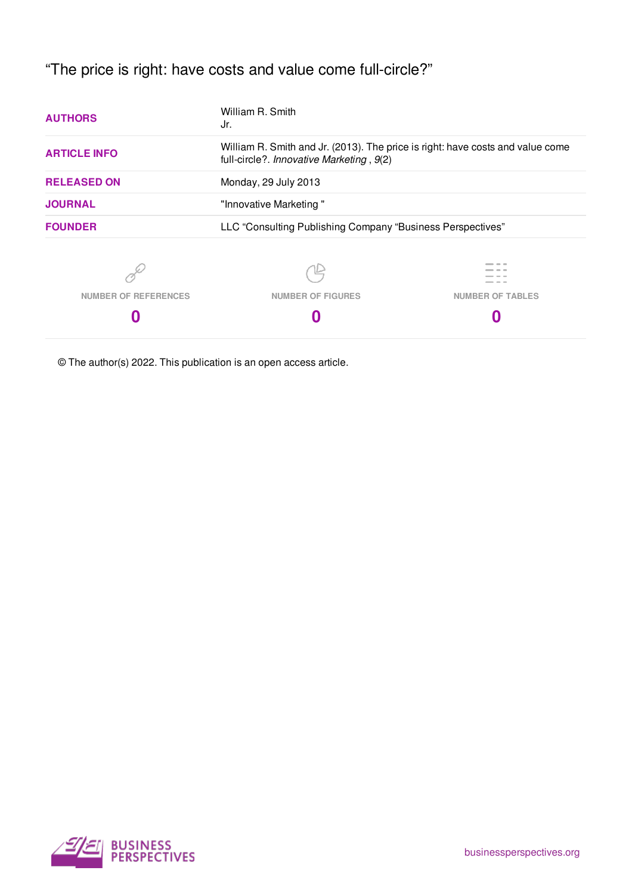"The price is right: have costs and value come full-circle?"

| <b>AUTHORS</b>              | William R. Smith<br>Jr.<br>William R. Smith and Jr. (2013). The price is right: have costs and value come<br>full-circle?. Innovative Marketing, 9(2)<br>Monday, 29 July 2013<br>"Innovative Marketing" |                         |
|-----------------------------|---------------------------------------------------------------------------------------------------------------------------------------------------------------------------------------------------------|-------------------------|
| <b>ARTICLE INFO</b>         |                                                                                                                                                                                                         |                         |
| <b>RELEASED ON</b>          |                                                                                                                                                                                                         |                         |
| <b>JOURNAL</b>              |                                                                                                                                                                                                         |                         |
| <b>FOUNDER</b>              | LLC "Consulting Publishing Company "Business Perspectives"                                                                                                                                              |                         |
|                             |                                                                                                                                                                                                         |                         |
| <b>NUMBER OF REFERENCES</b> | <b>NUMBER OF FIGURES</b>                                                                                                                                                                                | <b>NUMBER OF TABLES</b> |
|                             |                                                                                                                                                                                                         |                         |

© The author(s) 2022. This publication is an open access article.

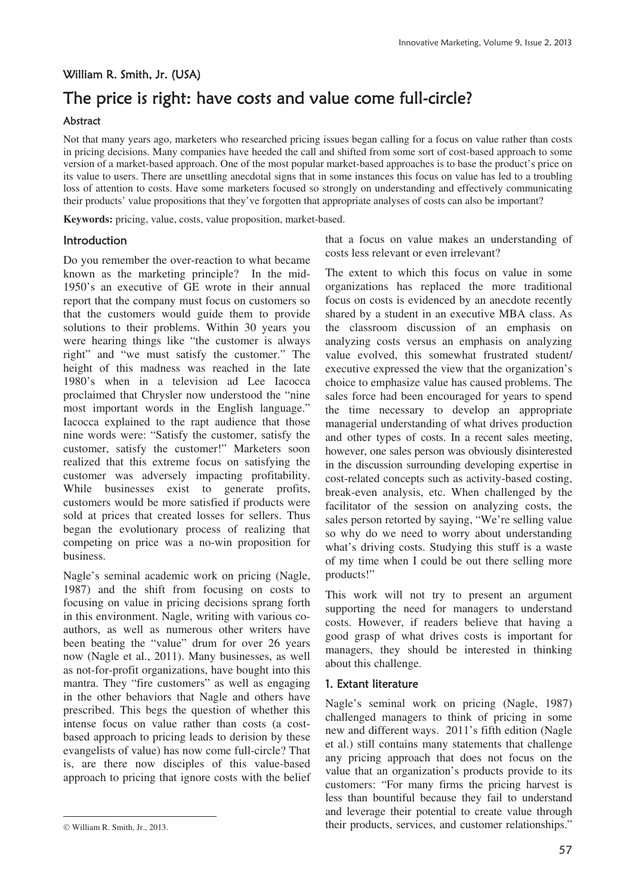## William R. Smith, Jr. (USA)

# The price is right: have costs and value come full-circle?

#### Abstract

Not that many years ago, marketers who researched pricing issues began calling for a focus on value rather than costs in pricing decisions. Many companies have heeded the call and shifted from some sort of cost-based approach to some version of a market-based approach. One of the most popular market-based approaches is to base the product's price on its value to users. There are unsettling anecdotal signs that in some instances this focus on value has led to a troubling loss of attention to costs. Have some marketers focused so strongly on understanding and effectively communicating their products' value propositions that they've forgotten that appropriate analyses of costs can also be important?

**Keywords:** pricing, value, costs, value proposition, market-based.

### Introduction

Do you remember the over-reaction to what became known as the marketing principle? In the mid-1950's an executive of GE wrote in their annual report that the company must focus on customers so that the customers would guide them to provide solutions to their problems. Within 30 years you were hearing things like "the customer is always right" and "we must satisfy the customer." The height of this madness was reached in the late 1980's when in a television ad Lee Iacocca proclaimed that Chrysler now understood the "nine most important words in the English language." Iacocca explained to the rapt audience that those nine words were: "Satisfy the customer, satisfy the customer, satisfy the customer!" Marketers soon realized that this extreme focus on satisfying the customer was adversely impacting profitability. While businesses exist to generate profits, customers would be more satisfied if products were sold at prices that created losses for sellers. Thus began the evolutionary process of realizing that competing on price was a no-win proposition for business.

Nagle's seminal academic work on pricing (Nagle, 1987) and the shift from focusing on costs to focusing on value in pricing decisions sprang forth in this environment. Nagle, writing with various coauthors, as well as numerous other writers have been beating the "value" drum for over 26 years now (Nagle et al., 2011). Many businesses, as well as not-for-profit organizations, have bought into this mantra. They "fire customers" as well as engaging in the other behaviors that Nagle and others have prescribed. This begs the question of whether this intense focus on value rather than costs (a costbased approach to pricing leads to derision by these evangelists of value) has now come full-circle? That is, are there now disciples of this value-based approach to pricing that ignore costs with the belief

 $\overline{a}$ 

that a focus on value makes an understanding of costs less relevant or even irrelevant?

The extent to which this focus on value in some organizations has replaced the more traditional focus on costs is evidenced by an anecdote recently shared by a student in an executive MBA class. As the classroom discussion of an emphasis on analyzing costs versus an emphasis on analyzing value evolved, this somewhat frustrated student/ executive expressed the view that the organization's choice to emphasize value has caused problems. The sales force had been encouraged for years to spend the time necessary to develop an appropriate managerial understanding of what drives production and other types of costs. In a recent sales meeting, however, one sales person was obviously disinterested in the discussion surrounding developing expertise in cost-related concepts such as activity-based costing, break-even analysis, etc. When challenged by the facilitator of the session on analyzing costs, the sales person retorted by saying, "We're selling value so why do we need to worry about understanding what's driving costs. Studying this stuff is a waste of my time when I could be out there selling more products!"

This work will not try to present an argument supporting the need for managers to understand costs. However, if readers believe that having a good grasp of what drives costs is important for managers, they should be interested in thinking about this challenge.

#### 1. Extant literature

Nagle's seminal work on pricing (Nagle, 1987) challenged managers to think of pricing in some new and different ways. 2011's fifth edition (Nagle et al.) still contains many statements that challenge any pricing approach that does not focus on the value that an organization's products provide to its customers: "For many firms the pricing harvest is less than bountiful because they fail to understand and leverage their potential to create value through their products, services, and customer relationships."

William R. Smith, Jr., 2013.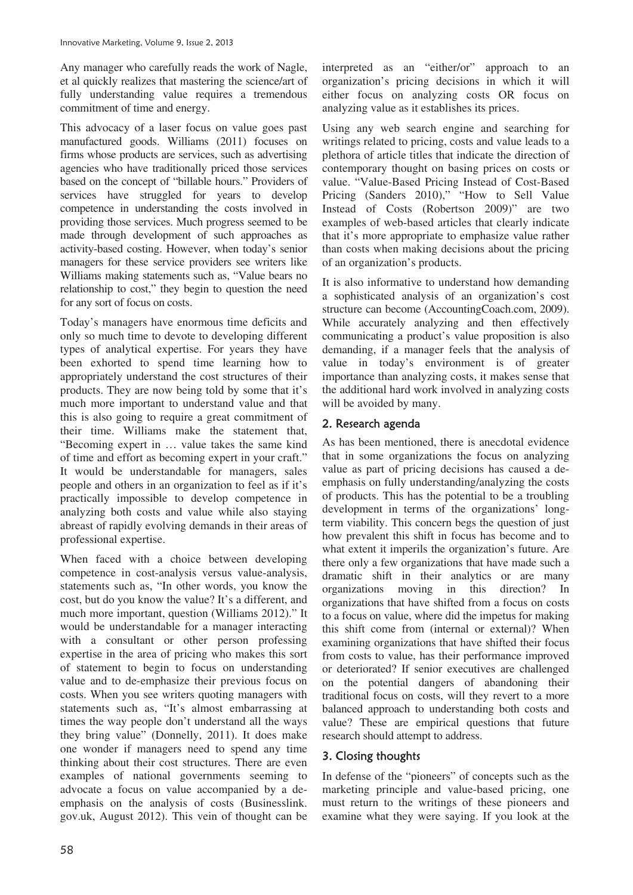Any manager who carefully reads the work of Nagle, et al quickly realizes that mastering the science/art of fully understanding value requires a tremendous commitment of time and energy.

This advocacy of a laser focus on value goes past manufactured goods. Williams (2011) focuses on firms whose products are services, such as advertising agencies who have traditionally priced those services based on the concept of "billable hours." Providers of services have struggled for years to develop competence in understanding the costs involved in providing those services. Much progress seemed to be made through development of such approaches as activity-based costing. However, when today's senior managers for these service providers see writers like Williams making statements such as, "Value bears no relationship to cost," they begin to question the need for any sort of focus on costs.

Today's managers have enormous time deficits and only so much time to devote to developing different types of analytical expertise. For years they have been exhorted to spend time learning how to appropriately understand the cost structures of their products. They are now being told by some that it's much more important to understand value and that this is also going to require a great commitment of their time. Williams make the statement that, "Becoming expert in … value takes the same kind of time and effort as becoming expert in your craft." It would be understandable for managers, sales people and others in an organization to feel as if it's practically impossible to develop competence in analyzing both costs and value while also staying abreast of rapidly evolving demands in their areas of professional expertise.

When faced with a choice between developing competence in cost-analysis versus value-analysis, statements such as, "In other words, you know the cost, but do you know the value? It's a different, and much more important, question (Williams 2012)." It would be understandable for a manager interacting with a consultant or other person professing expertise in the area of pricing who makes this sort of statement to begin to focus on understanding value and to de-emphasize their previous focus on costs. When you see writers quoting managers with statements such as, "It's almost embarrassing at times the way people don't understand all the ways they bring value" (Donnelly, 2011). It does make one wonder if managers need to spend any time thinking about their cost structures. There are even examples of national governments seeming to advocate a focus on value accompanied by a deemphasis on the analysis of costs (Businesslink. gov.uk, August 2012). This vein of thought can be

interpreted as an "either/or" approach to an organization's pricing decisions in which it will either focus on analyzing costs OR focus on analyzing value as it establishes its prices.

Using any web search engine and searching for writings related to pricing, costs and value leads to a plethora of article titles that indicate the direction of contemporary thought on basing prices on costs or value. "Value-Based Pricing Instead of Cost-Based Pricing (Sanders 2010)," "How to Sell Value Instead of Costs (Robertson 2009)" are two examples of web-based articles that clearly indicate that it's more appropriate to emphasize value rather than costs when making decisions about the pricing of an organization's products.

It is also informative to understand how demanding a sophisticated analysis of an organization's cost structure can become (AccountingCoach.com, 2009). While accurately analyzing and then effectively communicating a product's value proposition is also demanding, if a manager feels that the analysis of value in today's environment is of greater importance than analyzing costs, it makes sense that the additional hard work involved in analyzing costs will be avoided by many.

## 2. Research agenda

As has been mentioned, there is anecdotal evidence that in some organizations the focus on analyzing value as part of pricing decisions has caused a deemphasis on fully understanding/analyzing the costs of products. This has the potential to be a troubling development in terms of the organizations' longterm viability. This concern begs the question of just how prevalent this shift in focus has become and to what extent it imperils the organization's future. Are there only a few organizations that have made such a dramatic shift in their analytics or are many organizations moving in this direction? In organizations that have shifted from a focus on costs to a focus on value, where did the impetus for making this shift come from (internal or external)? When examining organizations that have shifted their focus from costs to value, has their performance improved or deteriorated? If senior executives are challenged on the potential dangers of abandoning their traditional focus on costs, will they revert to a more balanced approach to understanding both costs and value? These are empirical questions that future research should attempt to address.

## 3. Closing thoughts

In defense of the "pioneers" of concepts such as the marketing principle and value-based pricing, one must return to the writings of these pioneers and examine what they were saying. If you look at the